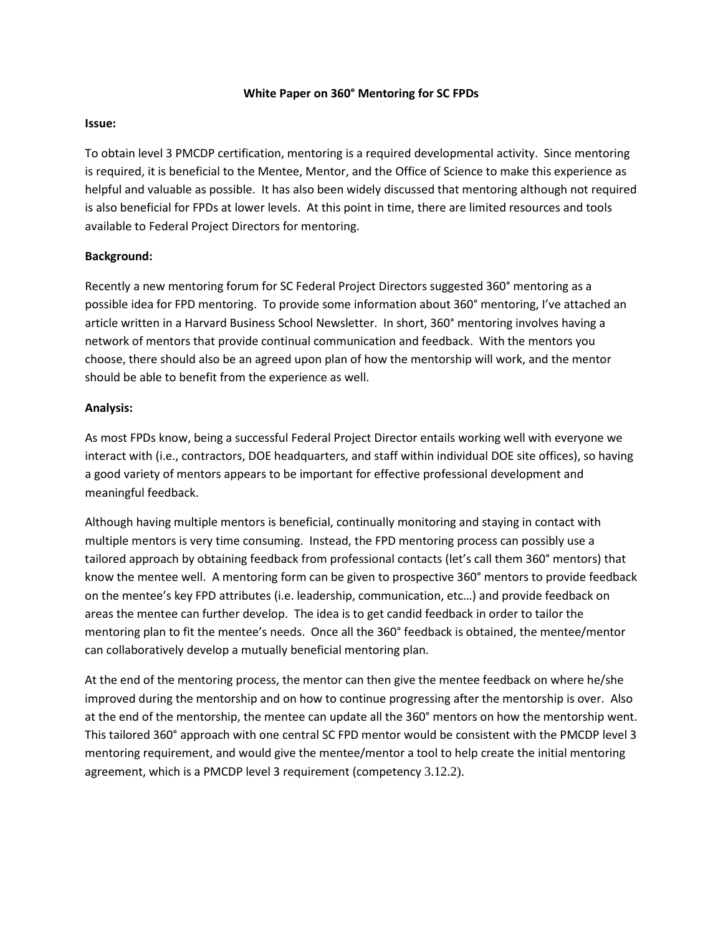### **White Paper on 360° Mentoring for SC FPDs**

### **Issue:**

To obtain level 3 PMCDP certification, mentoring is a required developmental activity. Since mentoring is required, it is beneficial to the Mentee, Mentor, and the Office of Science to make this experience as helpful and valuable as possible. It has also been widely discussed that mentoring although not required is also beneficial for FPDs at lower levels. At this point in time, there are limited resources and tools available to Federal Project Directors for mentoring.

# **Background:**

Recently a new mentoring forum for SC Federal Project Directors suggested 360° mentoring as a possible idea for FPD mentoring. To provide some information about 360° mentoring, I've attached an article written in a Harvard Business School Newsletter. In short, 360° mentoring involves having a network of mentors that provide continual communication and feedback. With the mentors you choose, there should also be an agreed upon plan of how the mentorship will work, and the mentor should be able to benefit from the experience as well.

# **Analysis:**

As most FPDs know, being a successful Federal Project Director entails working well with everyone we interact with (i.e., contractors, DOE headquarters, and staff within individual DOE site offices), so having a good variety of mentors appears to be important for effective professional development and meaningful feedback.

Although having multiple mentors is beneficial, continually monitoring and staying in contact with multiple mentors is very time consuming. Instead, the FPD mentoring process can possibly use a tailored approach by obtaining feedback from professional contacts (let's call them 360° mentors) that know the mentee well. A mentoring form can be given to prospective 360° mentors to provide feedback on the mentee's key FPD attributes (i.e. leadership, communication, etc…) and provide feedback on areas the mentee can further develop. The idea is to get candid feedback in order to tailor the mentoring plan to fit the mentee's needs. Once all the 360° feedback is obtained, the mentee/mentor can collaboratively develop a mutually beneficial mentoring plan.

At the end of the mentoring process, the mentor can then give the mentee feedback on where he/she improved during the mentorship and on how to continue progressing after the mentorship is over. Also at the end of the mentorship, the mentee can update all the 360° mentors on how the mentorship went. This tailored 360° approach with one central SC FPD mentor would be consistent with the PMCDP level 3 mentoring requirement, and would give the mentee/mentor a tool to help create the initial mentoring agreement, which is a PMCDP level 3 requirement (competency 3.12.2).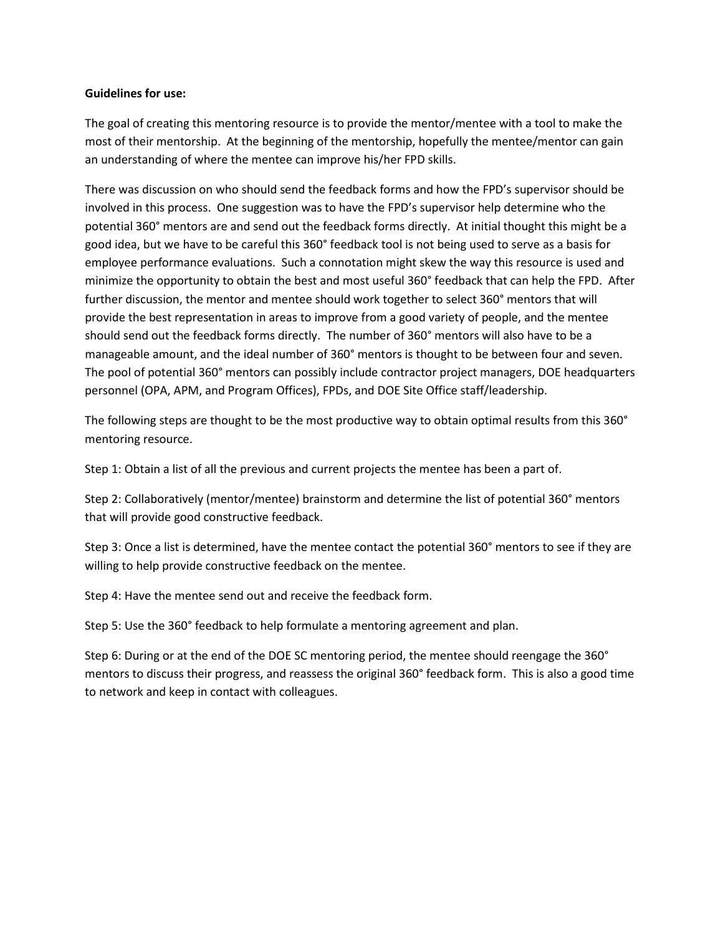#### **Guidelines for use:**

The goal of creating this mentoring resource is to provide the mentor/mentee with a tool to make the most of their mentorship. At the beginning of the mentorship, hopefully the mentee/mentor can gain an understanding of where the mentee can improve his/her FPD skills.

There was discussion on who should send the feedback forms and how the FPD's supervisor should be involved in this process. One suggestion was to have the FPD's supervisor help determine who the potential 360° mentors are and send out the feedback forms directly. At initial thought this might be a good idea, but we have to be careful this 360° feedback tool is not being used to serve as a basis for employee performance evaluations. Such a connotation might skew the way this resource is used and minimize the opportunity to obtain the best and most useful 360° feedback that can help the FPD. After further discussion, the mentor and mentee should work together to select 360° mentors that will provide the best representation in areas to improve from a good variety of people, and the mentee should send out the feedback forms directly. The number of 360° mentors will also have to be a manageable amount, and the ideal number of 360° mentors is thought to be between four and seven. The pool of potential 360° mentors can possibly include contractor project managers, DOE headquarters personnel (OPA, APM, and Program Offices), FPDs, and DOE Site Office staff/leadership.

The following steps are thought to be the most productive way to obtain optimal results from this 360° mentoring resource.

Step 1: Obtain a list of all the previous and current projects the mentee has been a part of.

Step 2: Collaboratively (mentor/mentee) brainstorm and determine the list of potential 360° mentors that will provide good constructive feedback.

Step 3: Once a list is determined, have the mentee contact the potential 360° mentors to see if they are willing to help provide constructive feedback on the mentee.

Step 4: Have the mentee send out and receive the feedback form.

Step 5: Use the 360° feedback to help formulate a mentoring agreement and plan.

Step 6: During or at the end of the DOE SC mentoring period, the mentee should reengage the 360° mentors to discuss their progress, and reassess the original 360° feedback form. This is also a good time to network and keep in contact with colleagues.